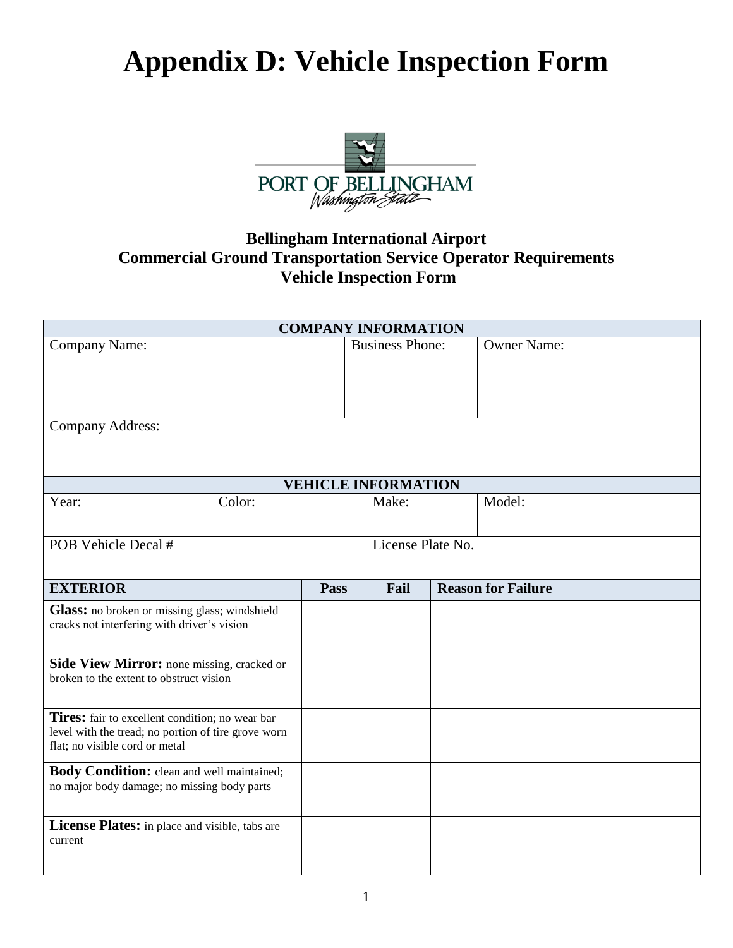## **Appendix D: Vehicle Inspection Form**



## **Bellingham International Airport Commercial Ground Transportation Service Operator Requirements Vehicle Inspection Form**

| <b>COMPANY INFORMATION</b>                                                                             |        |      |                            |  |                           |
|--------------------------------------------------------------------------------------------------------|--------|------|----------------------------|--|---------------------------|
| <b>Company Name:</b>                                                                                   |        |      | <b>Business Phone:</b>     |  | <b>Owner Name:</b>        |
|                                                                                                        |        |      |                            |  |                           |
|                                                                                                        |        |      |                            |  |                           |
| <b>Company Address:</b>                                                                                |        |      |                            |  |                           |
|                                                                                                        |        |      |                            |  |                           |
|                                                                                                        |        |      |                            |  |                           |
|                                                                                                        |        |      | <b>VEHICLE INFORMATION</b> |  |                           |
| Year:                                                                                                  | Color: |      | Make:                      |  | Model:                    |
|                                                                                                        |        |      |                            |  |                           |
| POB Vehicle Decal #                                                                                    |        |      | License Plate No.          |  |                           |
|                                                                                                        |        |      |                            |  |                           |
| <b>EXTERIOR</b>                                                                                        |        | Pass | Fail                       |  | <b>Reason for Failure</b> |
| Glass: no broken or missing glass; windshield                                                          |        |      |                            |  |                           |
| cracks not interfering with driver's vision                                                            |        |      |                            |  |                           |
| Side View Mirror: none missing, cracked or                                                             |        |      |                            |  |                           |
| broken to the extent to obstruct vision                                                                |        |      |                            |  |                           |
|                                                                                                        |        |      |                            |  |                           |
| Tires: fair to excellent condition; no wear bar<br>level with the tread; no portion of tire grove worn |        |      |                            |  |                           |
| flat; no visible cord or metal                                                                         |        |      |                            |  |                           |
| Body Condition: clean and well maintained;                                                             |        |      |                            |  |                           |
| no major body damage; no missing body parts                                                            |        |      |                            |  |                           |
|                                                                                                        |        |      |                            |  |                           |
| License Plates: in place and visible, tabs are                                                         |        |      |                            |  |                           |
| current                                                                                                |        |      |                            |  |                           |
|                                                                                                        |        |      |                            |  |                           |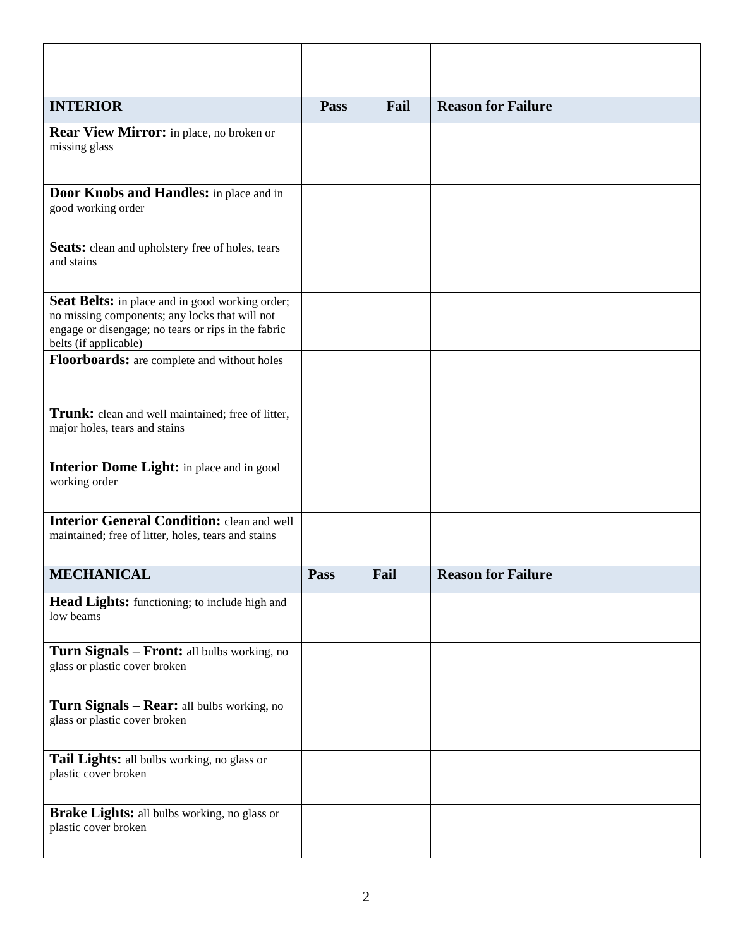| <b>INTERIOR</b>                                                                                                                                                                          | Pass | Fail | <b>Reason for Failure</b> |
|------------------------------------------------------------------------------------------------------------------------------------------------------------------------------------------|------|------|---------------------------|
| <b>Rear View Mirror:</b> in place, no broken or<br>missing glass                                                                                                                         |      |      |                           |
| Door Knobs and Handles: in place and in<br>good working order                                                                                                                            |      |      |                           |
| <b>Seats:</b> clean and upholstery free of holes, tears<br>and stains                                                                                                                    |      |      |                           |
| <b>Seat Belts:</b> in place and in good working order;<br>no missing components; any locks that will not<br>engage or disengage; no tears or rips in the fabric<br>belts (if applicable) |      |      |                           |
| Floorboards: are complete and without holes                                                                                                                                              |      |      |                           |
| Trunk: clean and well maintained; free of litter,<br>major holes, tears and stains                                                                                                       |      |      |                           |
| <b>Interior Dome Light:</b> in place and in good<br>working order                                                                                                                        |      |      |                           |
| <b>Interior General Condition: clean and well</b><br>maintained; free of litter, holes, tears and stains                                                                                 |      |      |                           |
| <b>MECHANICAL</b>                                                                                                                                                                        | Pass | Fail | <b>Reason for Failure</b> |
| Head Lights: functioning; to include high and<br>low beams                                                                                                                               |      |      |                           |
| Turn Signals - Front: all bulbs working, no<br>glass or plastic cover broken                                                                                                             |      |      |                           |
| Turn Signals - Rear: all bulbs working, no<br>glass or plastic cover broken                                                                                                              |      |      |                           |
| Tail Lights: all bulbs working, no glass or<br>plastic cover broken                                                                                                                      |      |      |                           |
| <b>Brake Lights:</b> all bulbs working, no glass or<br>plastic cover broken                                                                                                              |      |      |                           |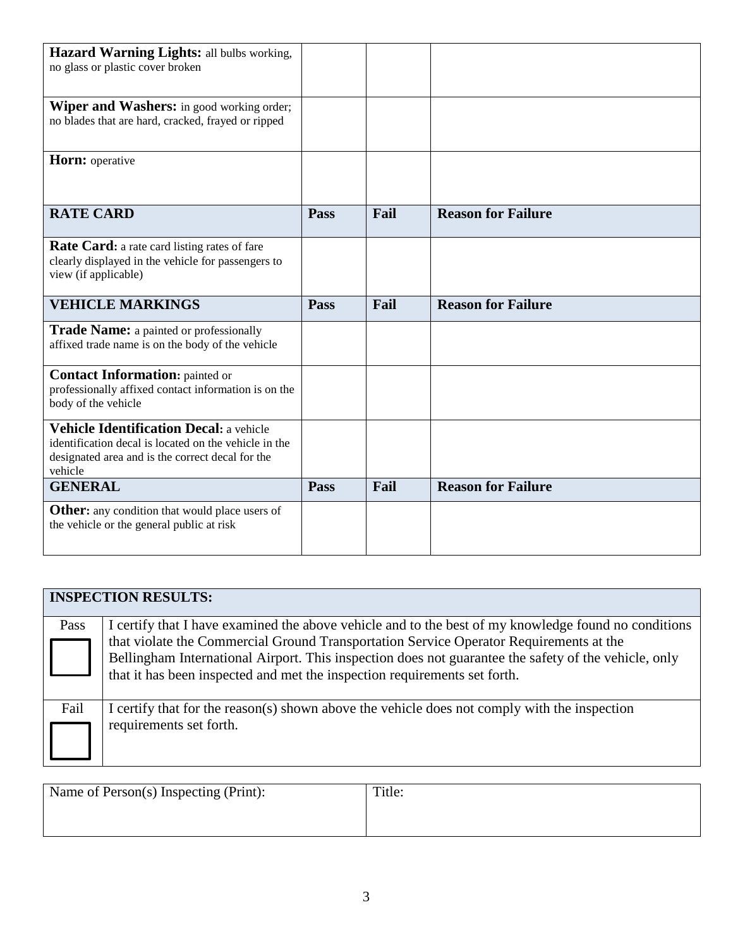| Hazard Warning Lights: all bulbs working,<br>no glass or plastic cover broken                                                                                          |             |      |                           |  |
|------------------------------------------------------------------------------------------------------------------------------------------------------------------------|-------------|------|---------------------------|--|
| <b>Wiper and Washers:</b> in good working order;<br>no blades that are hard, cracked, frayed or ripped                                                                 |             |      |                           |  |
| Horn: operative                                                                                                                                                        |             |      |                           |  |
| <b>RATE CARD</b>                                                                                                                                                       | Pass        | Fail | <b>Reason for Failure</b> |  |
| <b>Rate Card:</b> a rate card listing rates of fare<br>clearly displayed in the vehicle for passengers to<br>view (if applicable)                                      |             |      |                           |  |
|                                                                                                                                                                        |             |      |                           |  |
| <b>VEHICLE MARKINGS</b>                                                                                                                                                | Pass        | Fail | <b>Reason for Failure</b> |  |
| <b>Trade Name:</b> a painted or professionally<br>affixed trade name is on the body of the vehicle                                                                     |             |      |                           |  |
| <b>Contact Information:</b> painted or<br>professionally affixed contact information is on the<br>body of the vehicle                                                  |             |      |                           |  |
| <b>Vehicle Identification Decal: a vehicle</b><br>identification decal is located on the vehicle in the<br>designated area and is the correct decal for the<br>vehicle |             |      |                           |  |
| <b>GENERAL</b>                                                                                                                                                         | <b>Pass</b> | Fail | <b>Reason for Failure</b> |  |

|      | <b>INSPECTION RESULTS:</b>                                                                                                                                                                                                                                                                                                                                                          |
|------|-------------------------------------------------------------------------------------------------------------------------------------------------------------------------------------------------------------------------------------------------------------------------------------------------------------------------------------------------------------------------------------|
| Pass | I certify that I have examined the above vehicle and to the best of my knowledge found no conditions<br>that violate the Commercial Ground Transportation Service Operator Requirements at the<br>Bellingham International Airport. This inspection does not guarantee the safety of the vehicle, only<br>that it has been inspected and met the inspection requirements set forth. |
| Fail | I certify that for the reason(s) shown above the vehicle does not comply with the inspection<br>requirements set forth.                                                                                                                                                                                                                                                             |

| Name of Person(s) Inspecting (Print): | Title: |
|---------------------------------------|--------|
|                                       |        |
|                                       |        |